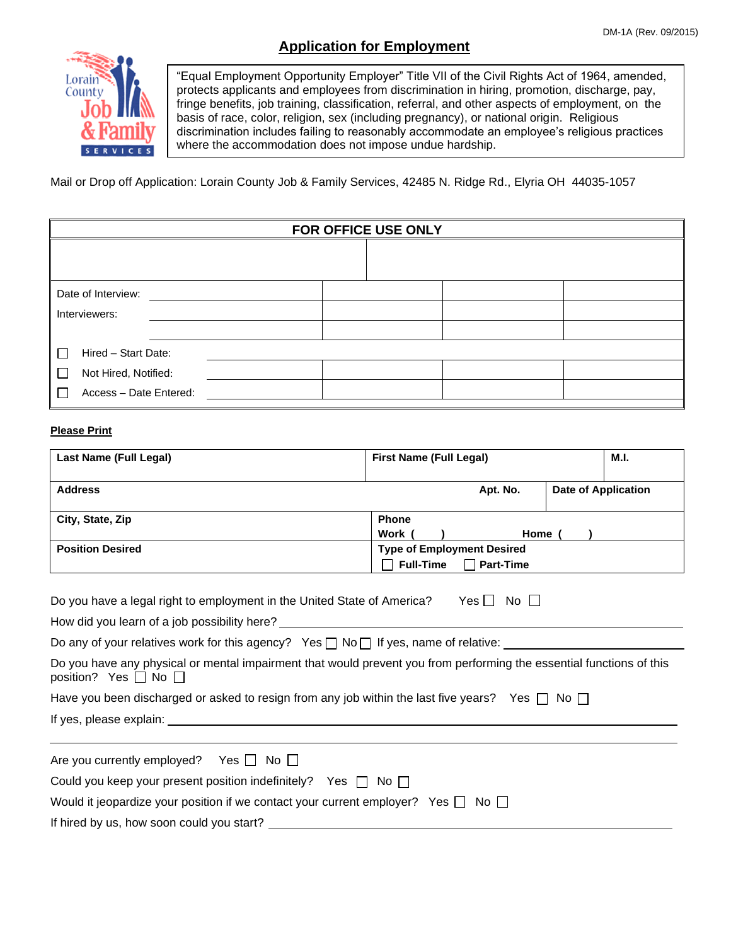## **Application for Employment**



"Equal Employment Opportunity Employer" Title VII of the Civil Rights Act of 1964, amended, protects applicants and employees from discrimination in hiring, promotion, discharge, pay, fringe benefits, job training, classification, referral, and other aspects of employment, on the basis of race, color, religion, sex (including pregnancy), or national origin. Religious discrimination includes failing to reasonably accommodate an employee's religious practices where the accommodation does not impose undue hardship.

Mail or Drop off Application: Lorain County Job & Family Services, 42485 N. Ridge Rd., Elyria OH 44035-1057

| FOR OFFICE USE ONLY    |  |  |  |
|------------------------|--|--|--|
|                        |  |  |  |
| Date of Interview:     |  |  |  |
| Interviewers:          |  |  |  |
|                        |  |  |  |
| Hired - Start Date:    |  |  |  |
| Not Hired, Notified:   |  |  |  |
| Access - Date Entered: |  |  |  |

#### **Please Print**

| <b>Last Name (Full Legal)</b>                                                                                                                          | <b>First Name (Full Legal)</b>                                                          | M.I.                       |  |
|--------------------------------------------------------------------------------------------------------------------------------------------------------|-----------------------------------------------------------------------------------------|----------------------------|--|
| <b>Address</b>                                                                                                                                         | Apt. No.                                                                                | <b>Date of Application</b> |  |
| City, State, Zip                                                                                                                                       | <b>Phone</b><br>Work (                                                                  | Home $( )$                 |  |
| <b>Position Desired</b>                                                                                                                                | <b>Type of Employment Desired</b><br><b>Full-Time</b><br><b>Part-Time</b><br>$\Gamma$ ) |                            |  |
| Do you have a legal right to employment in the United State of America?                                                                                | $Yes \Box No \Box$                                                                      |                            |  |
| Do any of your relatives work for this agency? Yes $\Box$ No $\Box$ If yes, name of relative: $\Box$                                                   |                                                                                         |                            |  |
| Do you have any physical or mental impairment that would prevent you from performing the essential functions of this<br>position? Yes $\Box$ No $\Box$ |                                                                                         |                            |  |
| Have you been discharged or asked to resign from any job within the last five years? Yes $\Box$ No $\Box$                                              |                                                                                         |                            |  |
|                                                                                                                                                        |                                                                                         |                            |  |
| Are you currently employed? Yes $\Box$ No $\Box$                                                                                                       |                                                                                         |                            |  |
| Could you keep your present position indefinitely? Yes $\Box$ No $\Box$                                                                                |                                                                                         |                            |  |
| Would it jeopardize your position if we contact your current employer? Yes $\Box$ No $\Box$                                                            |                                                                                         |                            |  |
| If hired by us, how soon could you start?                                                                                                              |                                                                                         |                            |  |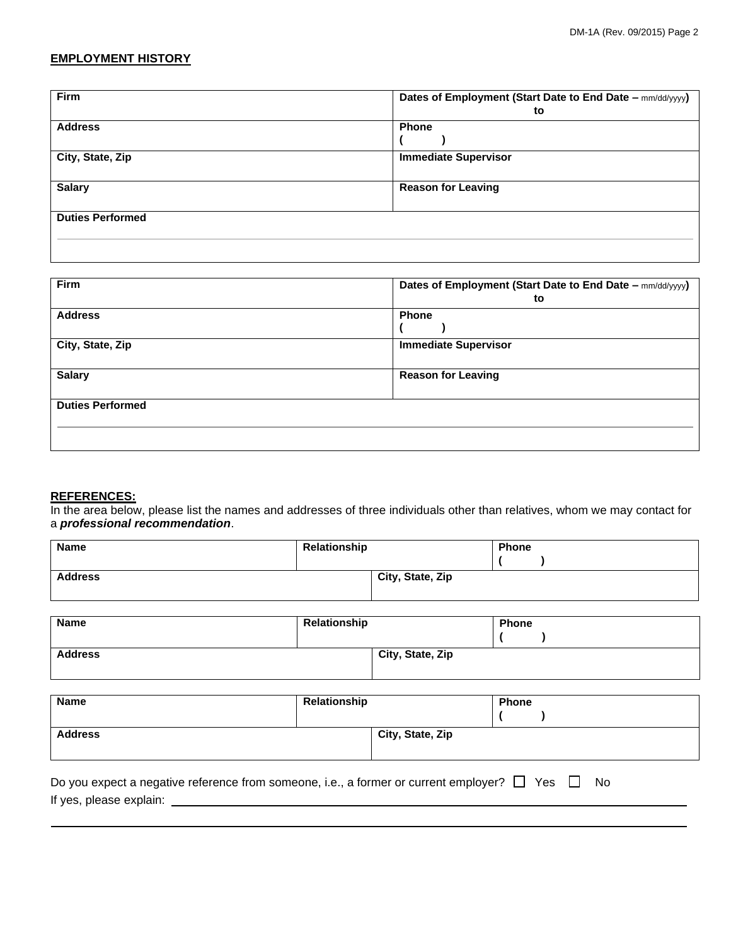## **EMPLOYMENT HISTORY**

| <b>Firm</b>             | Dates of Employment (Start Date to End Date - mm/dd/yyyy) |
|-------------------------|-----------------------------------------------------------|
|                         | to                                                        |
| <b>Address</b>          | <b>Phone</b>                                              |
|                         |                                                           |
| City, State, Zip        | <b>Immediate Supervisor</b>                               |
|                         |                                                           |
| <b>Salary</b>           | <b>Reason for Leaving</b>                                 |
|                         |                                                           |
| <b>Duties Performed</b> |                                                           |
|                         |                                                           |
|                         |                                                           |

| Firm                    | Dates of Employment (Start Date to End Date - mm/dd/yyyy)<br>to |
|-------------------------|-----------------------------------------------------------------|
| <b>Address</b>          | <b>Phone</b>                                                    |
| City, State, Zip        | <b>Immediate Supervisor</b>                                     |
| <b>Salary</b>           | <b>Reason for Leaving</b>                                       |
| <b>Duties Performed</b> |                                                                 |
|                         |                                                                 |

#### **REFERENCES:**

In the area below, please list the names and addresses of three individuals other than relatives, whom we may contact for a *professional recommendation*.

| <b>Name</b>    | Relationship |                  | <b>Phone</b> |  |
|----------------|--------------|------------------|--------------|--|
| <b>Address</b> |              | City, State, Zip |              |  |

| Name           | Relationship |                  | <b>Phone</b> |
|----------------|--------------|------------------|--------------|
|                |              |                  |              |
| <b>Address</b> |              | City, State, Zip |              |
|                |              |                  |              |

| <b>Name</b>    | Relationship |                  | <b>Phone</b> |  |
|----------------|--------------|------------------|--------------|--|
|                |              |                  |              |  |
| <b>Address</b> |              | City, State, Zip |              |  |
|                |              |                  |              |  |

Do you expect a negative reference from someone, i.e., a former or current employer?  $\Box$  Yes  $\Box$  No If yes, please explain: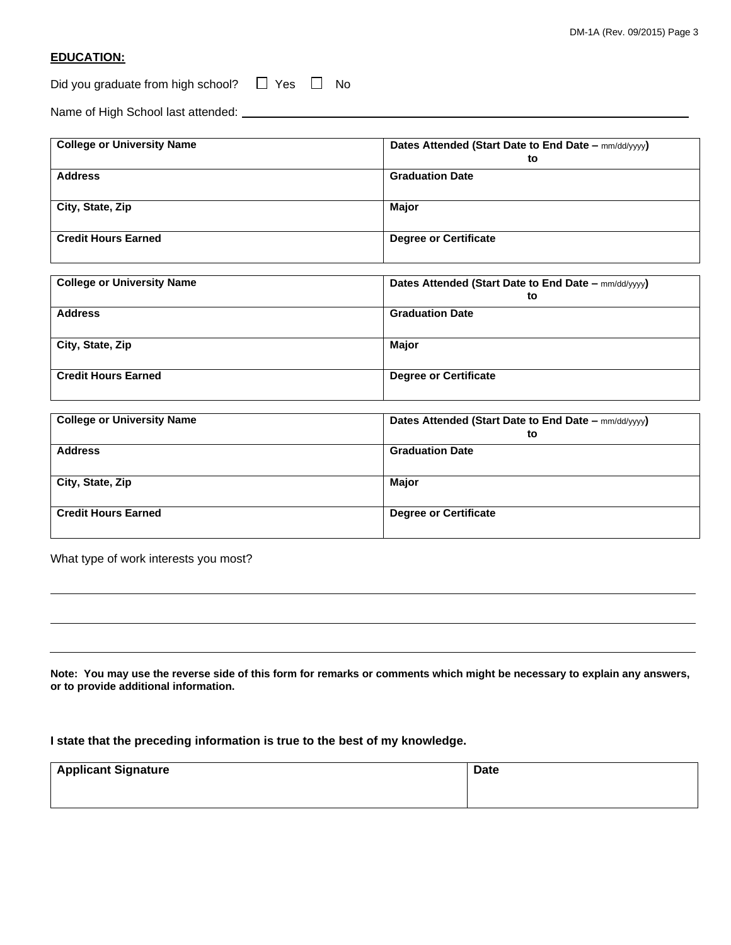### **EDUCATION:**

Did you graduate from high school?  $\Box$  Yes  $\Box$  No

Name of High School last attended:

| <b>College or University Name</b> | Dates Attended (Start Date to End Date - mm/dd/yyyy)<br>to |
|-----------------------------------|------------------------------------------------------------|
| <b>Address</b>                    | <b>Graduation Date</b>                                     |
| City, State, Zip                  | Major                                                      |
| <b>Credit Hours Earned</b>        | <b>Degree or Certificate</b>                               |

| <b>College or University Name</b> | Dates Attended (Start Date to End Date – mm/dd/yyyy)<br>to |
|-----------------------------------|------------------------------------------------------------|
| <b>Address</b>                    | <b>Graduation Date</b>                                     |
| City, State, Zip                  | Major                                                      |
| <b>Credit Hours Earned</b>        | <b>Degree or Certificate</b>                               |

| <b>College or University Name</b> | Dates Attended (Start Date to End Date – mm/dd/yyyy)<br>to |
|-----------------------------------|------------------------------------------------------------|
| <b>Address</b>                    | <b>Graduation Date</b>                                     |
| City, State, Zip                  | Major                                                      |
| <b>Credit Hours Earned</b>        | <b>Degree or Certificate</b>                               |

What type of work interests you most?

**Note: You may use the reverse side of this form for remarks or comments which might be necessary to explain any answers, or to provide additional information.**

**I state that the preceding information is true to the best of my knowledge.**

| <b>Applicant Signature</b> | <b>Date</b> |
|----------------------------|-------------|
|                            |             |
|                            |             |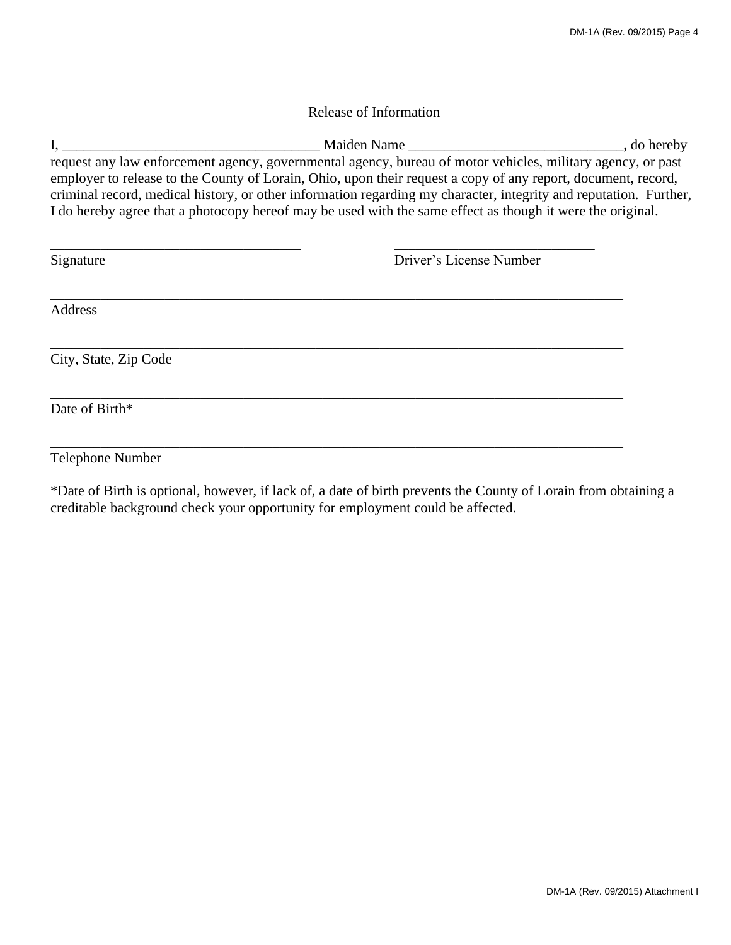## Release of Information

I, \_\_\_\_\_\_\_\_\_\_\_\_\_\_\_\_\_\_\_\_\_\_\_\_\_\_\_\_\_\_\_\_\_\_\_\_ Maiden Name \_\_\_\_\_\_\_\_\_\_\_\_\_\_\_\_\_\_\_\_\_\_\_\_\_\_\_\_\_\_, do hereby request any law enforcement agency, governmental agency, bureau of motor vehicles, military agency, or past employer to release to the County of Lorain, Ohio, upon their request a copy of any report, document, record, criminal record, medical history, or other information regarding my character, integrity and reputation. Further, I do hereby agree that a photocopy hereof may be used with the same effect as though it were the original.

| Signature             | Driver's License Number |
|-----------------------|-------------------------|
| <b>Address</b>        |                         |
| City, State, Zip Code |                         |
| Date of Birth*        |                         |

## Telephone Number

\*Date of Birth is optional, however, if lack of, a date of birth prevents the County of Lorain from obtaining a creditable background check your opportunity for employment could be affected.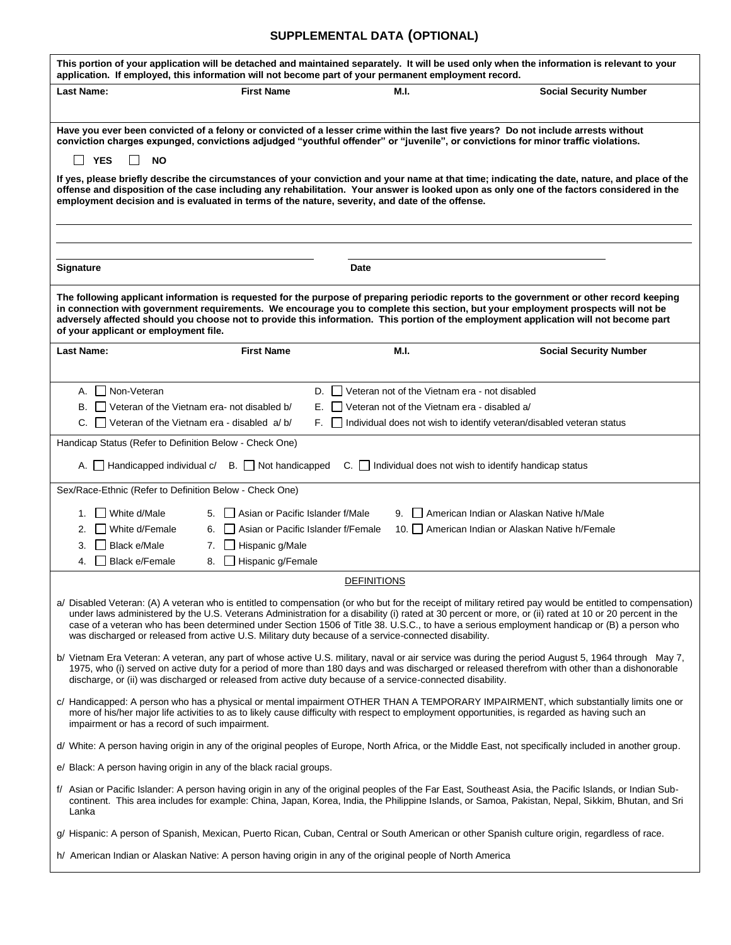# **SUPPLEMENTAL DATA (OPTIONAL)**

j.

| This portion of your application will be detached and maintained separately. It will be used only when the information is relevant to your<br>application. If employed, this information will not become part of your permanent employment record.                                                                                                                                                                                                                                                                                                                         |                                                                                                           |                                                                                                         |                                                                                                                                                                                                                                                                                                       |  |  |
|----------------------------------------------------------------------------------------------------------------------------------------------------------------------------------------------------------------------------------------------------------------------------------------------------------------------------------------------------------------------------------------------------------------------------------------------------------------------------------------------------------------------------------------------------------------------------|-----------------------------------------------------------------------------------------------------------|---------------------------------------------------------------------------------------------------------|-------------------------------------------------------------------------------------------------------------------------------------------------------------------------------------------------------------------------------------------------------------------------------------------------------|--|--|
| <b>Last Name:</b>                                                                                                                                                                                                                                                                                                                                                                                                                                                                                                                                                          | <b>First Name</b>                                                                                         | M.I.                                                                                                    | <b>Social Security Number</b>                                                                                                                                                                                                                                                                         |  |  |
|                                                                                                                                                                                                                                                                                                                                                                                                                                                                                                                                                                            |                                                                                                           |                                                                                                         |                                                                                                                                                                                                                                                                                                       |  |  |
| Have you ever been convicted of a felony or convicted of a lesser crime within the last five years? Do not include arrests without<br>conviction charges expunged, convictions adjudged "youthful offender" or "juvenile", or convictions for minor traffic violations.<br><b>YES</b><br><b>NO</b>                                                                                                                                                                                                                                                                         |                                                                                                           |                                                                                                         |                                                                                                                                                                                                                                                                                                       |  |  |
| If yes, please briefly describe the circumstances of your conviction and your name at that time; indicating the date, nature, and place of the<br>offense and disposition of the case including any rehabilitation. Your answer is looked upon as only one of the factors considered in the<br>employment decision and is evaluated in terms of the nature, severity, and date of the offense.                                                                                                                                                                             |                                                                                                           |                                                                                                         |                                                                                                                                                                                                                                                                                                       |  |  |
|                                                                                                                                                                                                                                                                                                                                                                                                                                                                                                                                                                            |                                                                                                           |                                                                                                         |                                                                                                                                                                                                                                                                                                       |  |  |
| Signature                                                                                                                                                                                                                                                                                                                                                                                                                                                                                                                                                                  |                                                                                                           | Date                                                                                                    |                                                                                                                                                                                                                                                                                                       |  |  |
| The following applicant information is requested for the purpose of preparing periodic reports to the government or other record keeping<br>in connection with government requirements. We encourage you to complete this section, but your employment prospects will not be<br>adversely affected should you choose not to provide this information. This portion of the employment application will not become part<br>of your applicant or employment file.                                                                                                             |                                                                                                           |                                                                                                         |                                                                                                                                                                                                                                                                                                       |  |  |
| <b>Last Name:</b>                                                                                                                                                                                                                                                                                                                                                                                                                                                                                                                                                          | <b>First Name</b>                                                                                         | M.I.                                                                                                    | <b>Social Security Number</b>                                                                                                                                                                                                                                                                         |  |  |
|                                                                                                                                                                                                                                                                                                                                                                                                                                                                                                                                                                            |                                                                                                           |                                                                                                         |                                                                                                                                                                                                                                                                                                       |  |  |
| Non-Veteran<br>А.<br>В.                                                                                                                                                                                                                                                                                                                                                                                                                                                                                                                                                    | Veteran of the Vietnam era- not disabled b/<br>Е.                                                         | D. Veteran not of the Vietnam era - not disabled<br>$\Box$ Veteran not of the Vietnam era - disabled a/ |                                                                                                                                                                                                                                                                                                       |  |  |
|                                                                                                                                                                                                                                                                                                                                                                                                                                                                                                                                                                            | C.     Veteran of the Vietnam era - disabled $a/b/$                                                       |                                                                                                         | F. Individual does not wish to identify veteran/disabled veteran status                                                                                                                                                                                                                               |  |  |
| Handicap Status (Refer to Definition Below - Check One)                                                                                                                                                                                                                                                                                                                                                                                                                                                                                                                    |                                                                                                           |                                                                                                         |                                                                                                                                                                                                                                                                                                       |  |  |
| A. $\Box$ Handicapped individual c/ B. $\Box$ Not handicapped<br>$C.$ Individual does not wish to identify handicap status                                                                                                                                                                                                                                                                                                                                                                                                                                                 |                                                                                                           |                                                                                                         |                                                                                                                                                                                                                                                                                                       |  |  |
| Sex/Race-Ethnic (Refer to Definition Below - Check One)                                                                                                                                                                                                                                                                                                                                                                                                                                                                                                                    |                                                                                                           |                                                                                                         |                                                                                                                                                                                                                                                                                                       |  |  |
| l White d/Male<br>1.                                                                                                                                                                                                                                                                                                                                                                                                                                                                                                                                                       | Asian or Pacific Islander f/Male<br>5.                                                                    | 9.                                                                                                      | American Indian or Alaskan Native h/Male                                                                                                                                                                                                                                                              |  |  |
| White d/Female<br>2.                                                                                                                                                                                                                                                                                                                                                                                                                                                                                                                                                       | Asian or Pacific Islander f/Female<br>6.                                                                  |                                                                                                         | 10. American Indian or Alaskan Native h/Female                                                                                                                                                                                                                                                        |  |  |
| 3.<br><b>Black e/Male</b>                                                                                                                                                                                                                                                                                                                                                                                                                                                                                                                                                  | Hispanic g/Male<br>7.                                                                                     |                                                                                                         |                                                                                                                                                                                                                                                                                                       |  |  |
| <b>Black e/Female</b><br>4.                                                                                                                                                                                                                                                                                                                                                                                                                                                                                                                                                | Hispanic g/Female<br>8.                                                                                   |                                                                                                         |                                                                                                                                                                                                                                                                                                       |  |  |
| <b>DEFINITIONS</b>                                                                                                                                                                                                                                                                                                                                                                                                                                                                                                                                                         |                                                                                                           |                                                                                                         |                                                                                                                                                                                                                                                                                                       |  |  |
| a/ Disabled Veteran: (A) A veteran who is entitled to compensation (or who but for the receipt of military retired pay would be entitled to compensation)<br>under laws administered by the U.S. Veterans Administration for a disability (i) rated at 30 percent or more, or (ii) rated at 10 or 20 percent in the<br>case of a veteran who has been determined under Section 1506 of Title 38. U.S.C., to have a serious employment handicap or (B) a person who<br>was discharged or released from active U.S. Military duty because of a service-connected disability. |                                                                                                           |                                                                                                         |                                                                                                                                                                                                                                                                                                       |  |  |
|                                                                                                                                                                                                                                                                                                                                                                                                                                                                                                                                                                            | discharge, or (ii) was discharged or released from active duty because of a service-connected disability. |                                                                                                         | b/ Vietnam Era Veteran: A veteran, any part of whose active U.S. military, naval or air service was during the period August 5, 1964 through May 7,<br>1975, who (i) served on active duty for a period of more than 180 days and was discharged or released therefrom with other than a dishonorable |  |  |
| impairment or has a record of such impairment.                                                                                                                                                                                                                                                                                                                                                                                                                                                                                                                             |                                                                                                           |                                                                                                         | c/ Handicapped: A person who has a physical or mental impairment OTHER THAN A TEMPORARY IMPAIRMENT, which substantially limits one or<br>more of his/her major life activities to as to likely cause difficulty with respect to employment opportunities, is regarded as having such an               |  |  |
|                                                                                                                                                                                                                                                                                                                                                                                                                                                                                                                                                                            |                                                                                                           |                                                                                                         | d/ White: A person having origin in any of the original peoples of Europe, North Africa, or the Middle East, not specifically included in another group.                                                                                                                                              |  |  |
| e/ Black: A person having origin in any of the black racial groups.                                                                                                                                                                                                                                                                                                                                                                                                                                                                                                        |                                                                                                           |                                                                                                         |                                                                                                                                                                                                                                                                                                       |  |  |
| f/ Asian or Pacific Islander: A person having origin in any of the original peoples of the Far East, Southeast Asia, the Pacific Islands, or Indian Sub-<br>continent. This area includes for example: China, Japan, Korea, India, the Philippine Islands, or Samoa, Pakistan, Nepal, Sikkim, Bhutan, and Sri<br>Lanka                                                                                                                                                                                                                                                     |                                                                                                           |                                                                                                         |                                                                                                                                                                                                                                                                                                       |  |  |
|                                                                                                                                                                                                                                                                                                                                                                                                                                                                                                                                                                            |                                                                                                           |                                                                                                         | g/ Hispanic: A person of Spanish, Mexican, Puerto Rican, Cuban, Central or South American or other Spanish culture origin, regardless of race.                                                                                                                                                        |  |  |
| h/ American Indian or Alaskan Native: A person having origin in any of the original people of North America                                                                                                                                                                                                                                                                                                                                                                                                                                                                |                                                                                                           |                                                                                                         |                                                                                                                                                                                                                                                                                                       |  |  |

J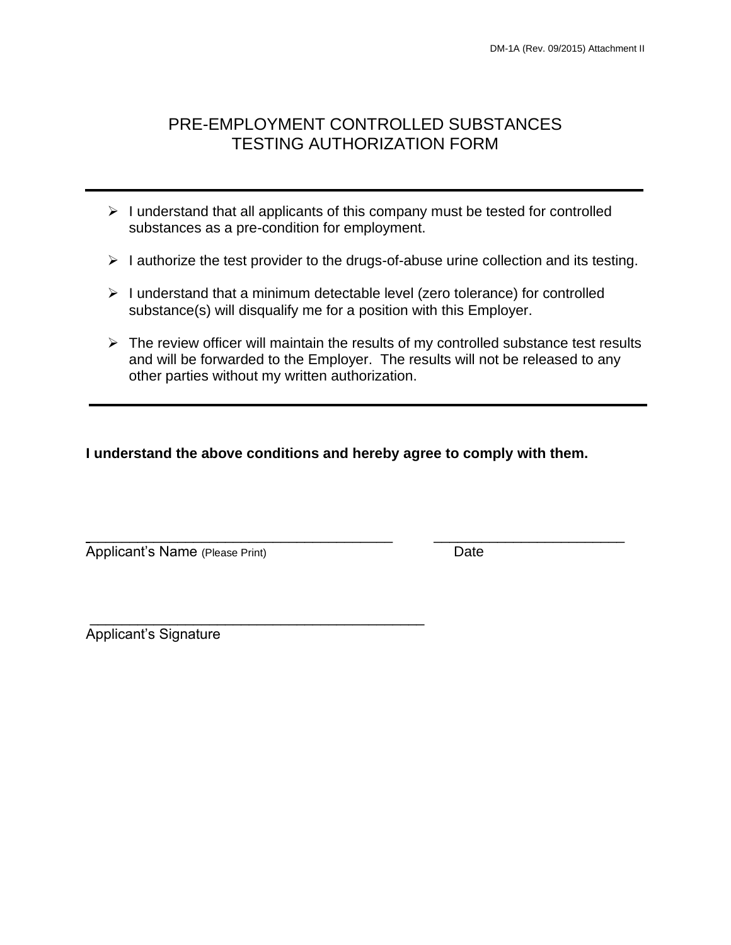## PRE-EMPLOYMENT CONTROLLED SUBSTANCES TESTING AUTHORIZATION FORM

- $\triangleright$  I understand that all applicants of this company must be tested for controlled substances as a pre-condition for employment.
- ➢ I authorize the test provider to the drugs-of-abuse urine collection and its testing.
- ➢ I understand that a minimum detectable level (zero tolerance) for controlled substance(s) will disqualify me for a position with this Employer.
- $\triangleright$  The review officer will maintain the results of my controlled substance test results and will be forwarded to the Employer. The results will not be released to any other parties without my written authorization.

**I understand the above conditions and hereby agree to comply with them.**

\_\_\_\_\_\_\_\_\_\_\_\_\_\_\_\_\_\_\_\_\_\_\_\_\_\_\_\_\_\_\_\_\_\_\_\_\_\_ \_\_\_\_\_\_\_\_\_\_\_\_\_\_\_\_\_\_\_\_\_\_\_\_

Applicant's Name (Please Print) **Date** 

\_\_\_\_\_\_\_\_\_\_\_\_\_\_\_\_\_\_\_\_\_\_\_\_\_\_\_\_\_\_\_\_\_\_\_\_\_\_\_\_\_\_ Applicant's Signature